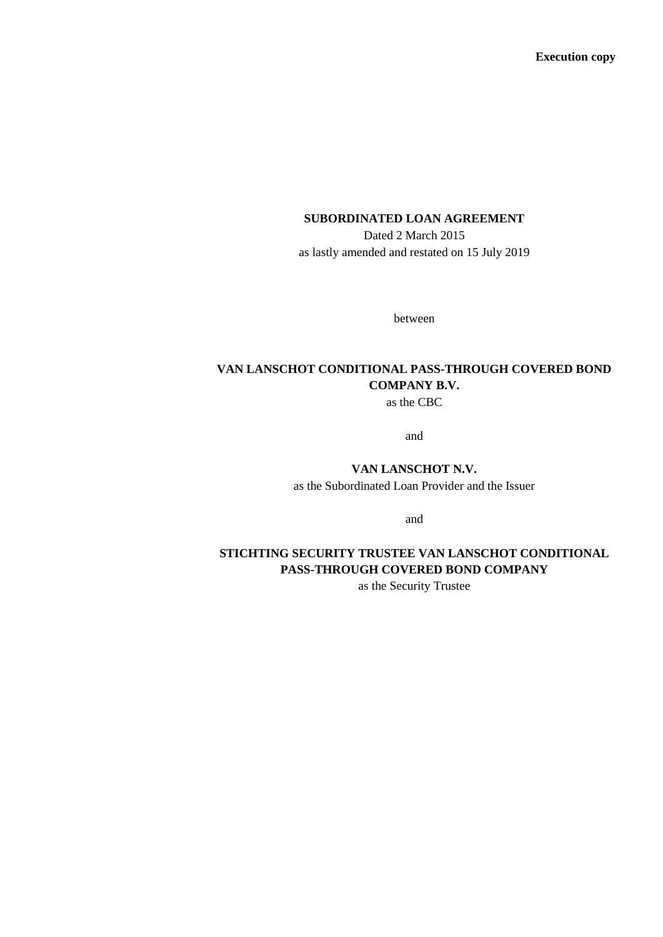**Execution copy**

# **SUBORDINATED LOAN AGREEMENT**

Dated 2 March 2015 as lastly amended and restated on 15 July 2019

between

# **VAN LANSCHOT CONDITIONAL PASS-THROUGH COVERED BOND COMPANY B.V.**

as the CBC

and

## **VAN LANSCHOT N.V.**

as the Subordinated Loan Provider and the Issuer

and

# **STICHTING SECURITY TRUSTEE VAN LANSCHOT CONDITIONAL PASS-THROUGH COVERED BOND COMPANY**

as the Security Trustee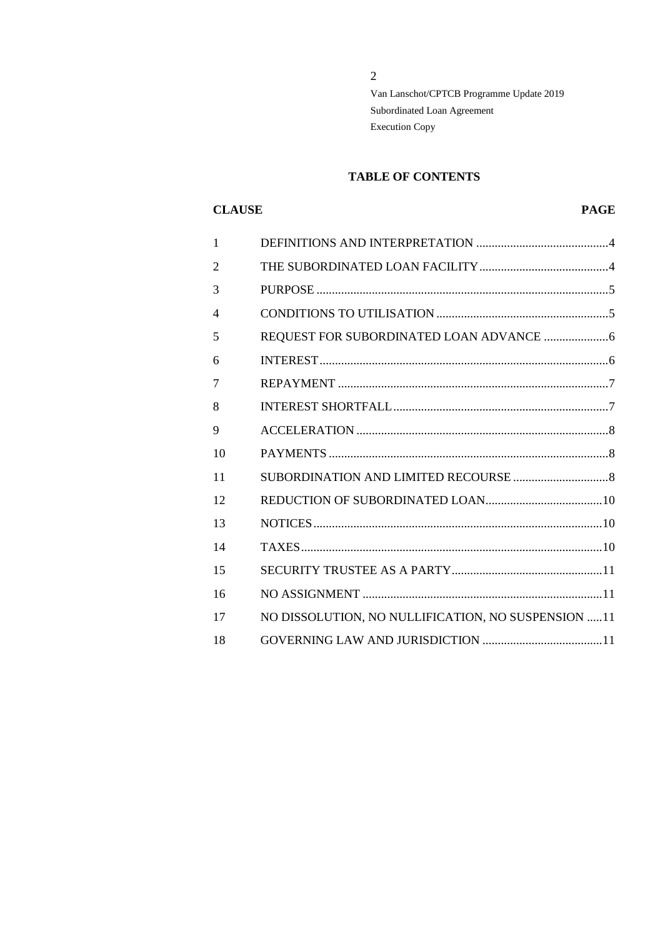## **TABLE OF CONTENTS**

# **CLAUSE PAGE**

| $\mathbf{1}$             |                                                    |
|--------------------------|----------------------------------------------------|
| $\overline{2}$           |                                                    |
| 3                        |                                                    |
| $\overline{\mathcal{A}}$ |                                                    |
| 5                        |                                                    |
| 6                        |                                                    |
| 7                        |                                                    |
| 8                        |                                                    |
| 9                        |                                                    |
| 10                       |                                                    |
| 11                       |                                                    |
| 12                       |                                                    |
| 13                       |                                                    |
| 14                       |                                                    |
| 15                       |                                                    |
| 16                       |                                                    |
| 17                       | NO DISSOLUTION, NO NULLIFICATION, NO SUSPENSION 11 |
| 18                       |                                                    |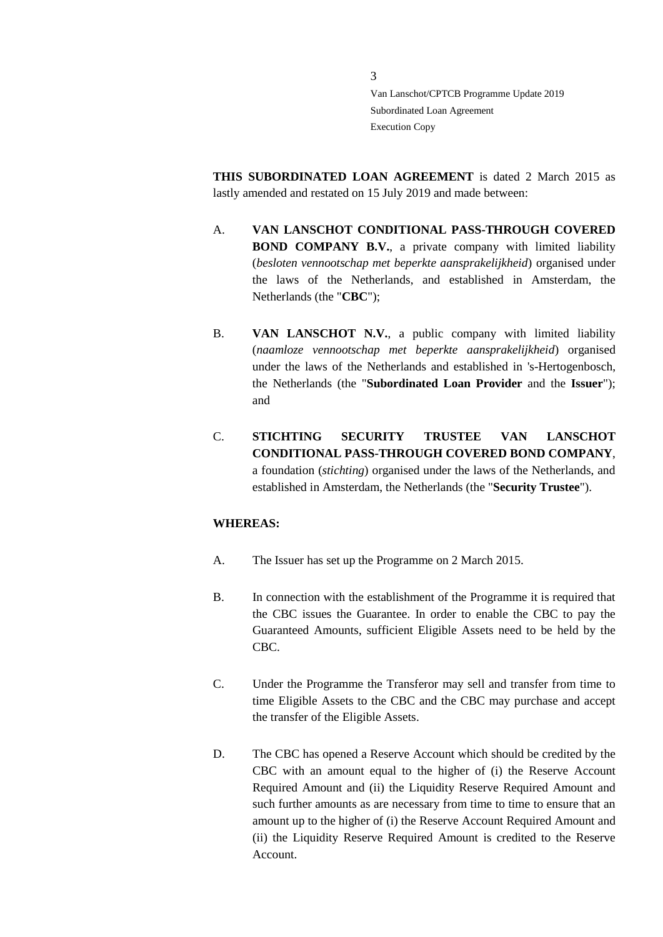**THIS SUBORDINATED LOAN AGREEMENT** is dated 2 March 2015 as lastly amended and restated on 15 July 2019 and made between:

- A. **VAN LANSCHOT CONDITIONAL PASS-THROUGH COVERED BOND COMPANY B.V.**, a private company with limited liability (*besloten vennootschap met beperkte aansprakelijkheid*) organised under the laws of the Netherlands, and established in Amsterdam, the Netherlands (the "**CBC**");
- B. **VAN LANSCHOT N.V.**, a public company with limited liability (*naamloze vennootschap met beperkte aansprakelijkheid*) organised under the laws of the Netherlands and established in 's-Hertogenbosch, the Netherlands (the "**Subordinated Loan Provider** and the **Issuer**"); and
- C. **STICHTING SECURITY TRUSTEE VAN LANSCHOT CONDITIONAL PASS-THROUGH COVERED BOND COMPANY**, a foundation (*stichting*) organised under the laws of the Netherlands, and established in Amsterdam, the Netherlands (the "**Security Trustee**").

## **WHEREAS:**

- A. The Issuer has set up the Programme on 2 March 2015.
- B. In connection with the establishment of the Programme it is required that the CBC issues the Guarantee. In order to enable the CBC to pay the Guaranteed Amounts, sufficient Eligible Assets need to be held by the CBC.
- C. Under the Programme the Transferor may sell and transfer from time to time Eligible Assets to the CBC and the CBC may purchase and accept the transfer of the Eligible Assets.
- D. The CBC has opened a Reserve Account which should be credited by the CBC with an amount equal to the higher of (i) the Reserve Account Required Amount and (ii) the Liquidity Reserve Required Amount and such further amounts as are necessary from time to time to ensure that an amount up to the higher of (i) the Reserve Account Required Amount and (ii) the Liquidity Reserve Required Amount is credited to the Reserve Account.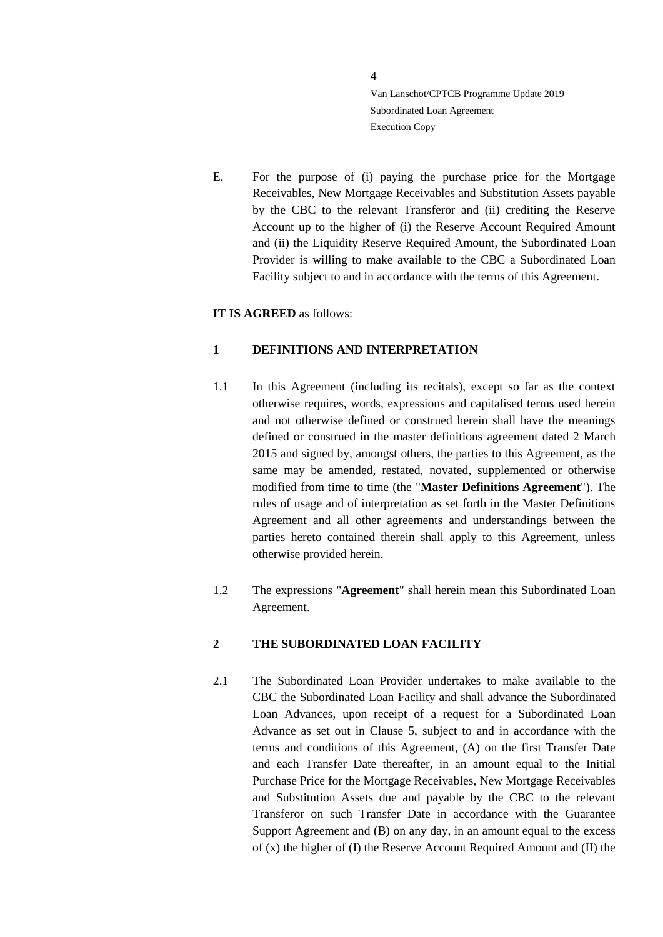E. For the purpose of (i) paying the purchase price for the Mortgage Receivables, New Mortgage Receivables and Substitution Assets payable by the CBC to the relevant Transferor and (ii) crediting the Reserve Account up to the higher of (i) the Reserve Account Required Amount and (ii) the Liquidity Reserve Required Amount, the Subordinated Loan Provider is willing to make available to the CBC a Subordinated Loan Facility subject to and in accordance with the terms of this Agreement.

# **IT IS AGREED** as follows:

# <span id="page-3-0"></span>**1 DEFINITIONS AND INTERPRETATION**

- 1.1 In this Agreement (including its recitals), except so far as the context otherwise requires, words, expressions and capitalised terms used herein and not otherwise defined or construed herein shall have the meanings defined or construed in the master definitions agreement dated 2 March 2015 and signed by, amongst others, the parties to this Agreement, as the same may be amended, restated, novated, supplemented or otherwise modified from time to time (the "**Master Definitions Agreement**"). The rules of usage and of interpretation as set forth in the Master Definitions Agreement and all other agreements and understandings between the parties hereto contained therein shall apply to this Agreement, unless otherwise provided herein.
- 1.2 The expressions "**Agreement**" shall herein mean this Subordinated Loan Agreement.

## <span id="page-3-1"></span>**2 THE SUBORDINATED LOAN FACILITY**

2.1 The Subordinated Loan Provider undertakes to make available to the CBC the Subordinated Loan Facility and shall advance the Subordinated Loan Advances, upon receipt of a request for a Subordinated Loan Advance as set out in Clause [5,](#page-5-0) subject to and in accordance with the terms and conditions of this Agreement, (A) on the first Transfer Date and each Transfer Date thereafter, in an amount equal to the Initial Purchase Price for the Mortgage Receivables, New Mortgage Receivables and Substitution Assets due and payable by the CBC to the relevant Transferor on such Transfer Date in accordance with the Guarantee Support Agreement and (B) on any day, in an amount equal to the excess of (x) the higher of (I) the Reserve Account Required Amount and (II) the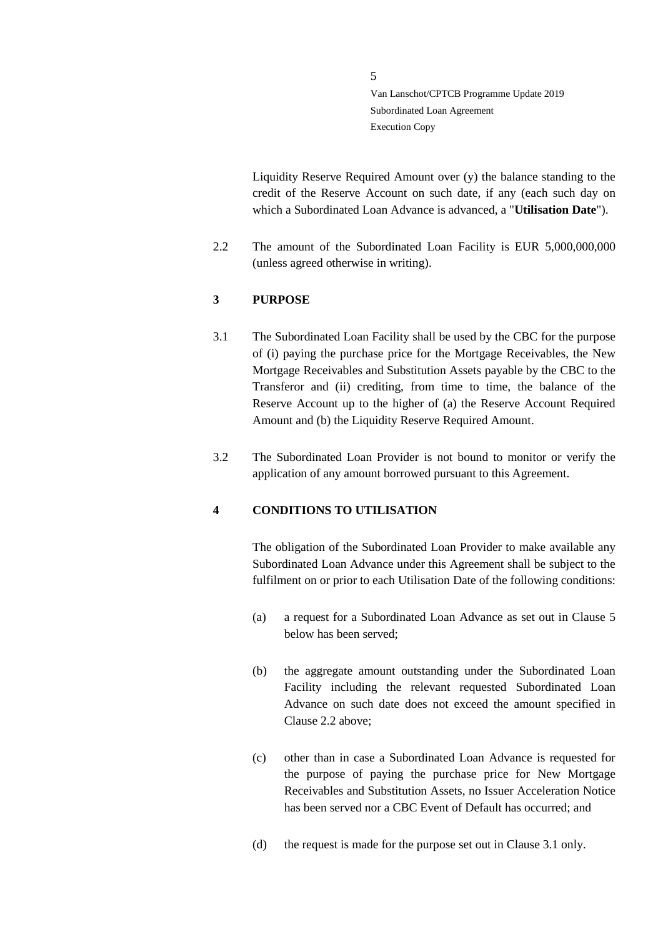Liquidity Reserve Required Amount over (y) the balance standing to the credit of the Reserve Account on such date, if any (each such day on which a Subordinated Loan Advance is advanced, a "**Utilisation Date**").

2.2 The amount of the Subordinated Loan Facility is EUR 5,000,000,000 (unless agreed otherwise in writing).

# <span id="page-4-0"></span>**3 PURPOSE**

- 3.1 The Subordinated Loan Facility shall be used by the CBC for the purpose of (i) paying the purchase price for the Mortgage Receivables, the New Mortgage Receivables and Substitution Assets payable by the CBC to the Transferor and (ii) crediting, from time to time, the balance of the Reserve Account up to the higher of (a) the Reserve Account Required Amount and (b) the Liquidity Reserve Required Amount.
- 3.2 The Subordinated Loan Provider is not bound to monitor or verify the application of any amount borrowed pursuant to this Agreement.

## <span id="page-4-1"></span>**4 CONDITIONS TO UTILISATION**

The obligation of the Subordinated Loan Provider to make available any Subordinated Loan Advance under this Agreement shall be subject to the fulfilment on or prior to each Utilisation Date of the following conditions:

- (a) a request for a Subordinated Loan Advance as set out in Clause [5](#page-5-0) below has been served;
- (b) the aggregate amount outstanding under the Subordinated Loan Facility including the relevant requested Subordinated Loan Advance on such date does not exceed the amount specified in Clause 2.2 above;
- (c) other than in case a Subordinated Loan Advance is requested for the purpose of paying the purchase price for New Mortgage Receivables and Substitution Assets, no Issuer Acceleration Notice has been served nor a CBC Event of Default has occurred; and
- (d) the request is made for the purpose set out in Clause 3.1 only.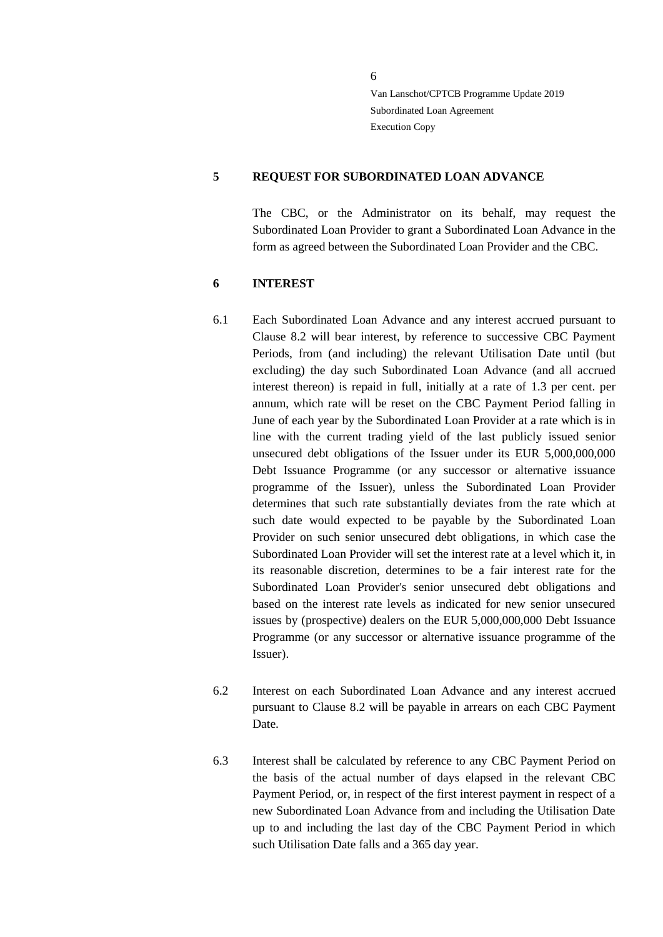## <span id="page-5-0"></span>**5 REQUEST FOR SUBORDINATED LOAN ADVANCE**

The CBC, or the Administrator on its behalf, may request the Subordinated Loan Provider to grant a Subordinated Loan Advance in the form as agreed between the Subordinated Loan Provider and the CBC.

#### <span id="page-5-1"></span>**6 INTEREST**

- 6.1 Each Subordinated Loan Advance and any interest accrued pursuant to Clause [8.2](#page-6-2) will bear interest, by reference to successive CBC Payment Periods, from (and including) the relevant Utilisation Date until (but excluding) the day such Subordinated Loan Advance (and all accrued interest thereon) is repaid in full, initially at a rate of 1.3 per cent. per annum, which rate will be reset on the CBC Payment Period falling in June of each year by the Subordinated Loan Provider at a rate which is in line with the current trading yield of the last publicly issued senior unsecured debt obligations of the Issuer under its EUR 5,000,000,000 Debt Issuance Programme (or any successor or alternative issuance programme of the Issuer), unless the Subordinated Loan Provider determines that such rate substantially deviates from the rate which at such date would expected to be payable by the Subordinated Loan Provider on such senior unsecured debt obligations, in which case the Subordinated Loan Provider will set the interest rate at a level which it, in its reasonable discretion, determines to be a fair interest rate for the Subordinated Loan Provider's senior unsecured debt obligations and based on the interest rate levels as indicated for new senior unsecured issues by (prospective) dealers on the EUR 5,000,000,000 Debt Issuance Programme (or any successor or alternative issuance programme of the Issuer).
- 6.2 Interest on each Subordinated Loan Advance and any interest accrued pursuant to Clause [8.2](#page-6-2) will be payable in arrears on each CBC Payment Date.
- 6.3 Interest shall be calculated by reference to any CBC Payment Period on the basis of the actual number of days elapsed in the relevant CBC Payment Period, or, in respect of the first interest payment in respect of a new Subordinated Loan Advance from and including the Utilisation Date up to and including the last day of the CBC Payment Period in which such Utilisation Date falls and a 365 day year.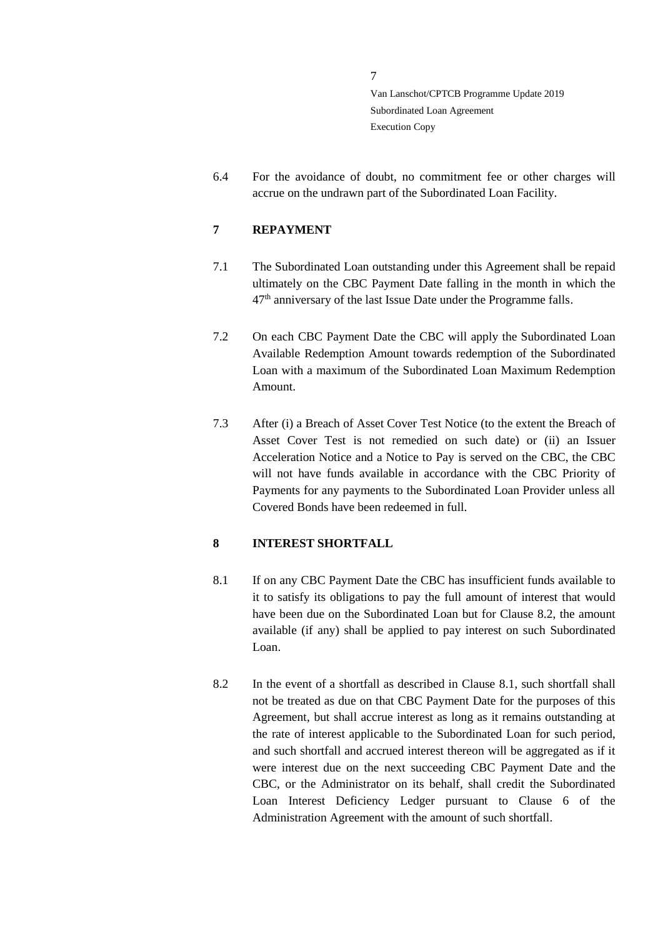6.4 For the avoidance of doubt, no commitment fee or other charges will accrue on the undrawn part of the Subordinated Loan Facility.

# <span id="page-6-0"></span>**7 REPAYMENT**

- 7.1 The Subordinated Loan outstanding under this Agreement shall be repaid ultimately on the CBC Payment Date falling in the month in which the 47<sup>th</sup> anniversary of the last Issue Date under the Programme falls.
- 7.2 On each CBC Payment Date the CBC will apply the Subordinated Loan Available Redemption Amount towards redemption of the Subordinated Loan with a maximum of the Subordinated Loan Maximum Redemption Amount.
- 7.3 After (i) a Breach of Asset Cover Test Notice (to the extent the Breach of Asset Cover Test is not remedied on such date) or (ii) an Issuer Acceleration Notice and a Notice to Pay is served on the CBC, the CBC will not have funds available in accordance with the CBC Priority of Payments for any payments to the Subordinated Loan Provider unless all Covered Bonds have been redeemed in full.

# <span id="page-6-1"></span>**8 INTEREST SHORTFALL**

- <span id="page-6-3"></span>8.1 If on any CBC Payment Date the CBC has insufficient funds available to it to satisfy its obligations to pay the full amount of interest that would have been due on the Subordinated Loan but for Clause [8.2,](#page-6-2) the amount available (if any) shall be applied to pay interest on such Subordinated Loan.
- <span id="page-6-2"></span>8.2 In the event of a shortfall as described in Clause [8.1,](#page-6-3) such shortfall shall not be treated as due on that CBC Payment Date for the purposes of this Agreement, but shall accrue interest as long as it remains outstanding at the rate of interest applicable to the Subordinated Loan for such period, and such shortfall and accrued interest thereon will be aggregated as if it were interest due on the next succeeding CBC Payment Date and the CBC, or the Administrator on its behalf, shall credit the Subordinated Loan Interest Deficiency Ledger pursuant to Clause 6 of the Administration Agreement with the amount of such shortfall.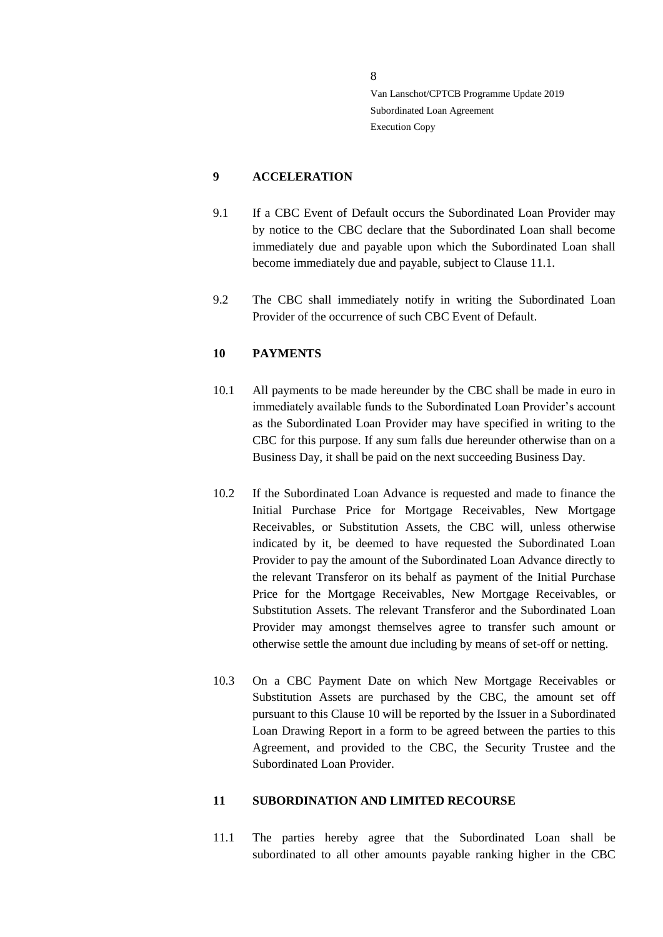# <span id="page-7-0"></span>**9 ACCELERATION**

- 9.1 If a CBC Event of Default occurs the Subordinated Loan Provider may by notice to the CBC declare that the Subordinated Loan shall become immediately due and payable upon which the Subordinated Loan shall become immediately due and payable, subject to Clause 11.1.
- 9.2 The CBC shall immediately notify in writing the Subordinated Loan Provider of the occurrence of such CBC Event of Default.

## <span id="page-7-1"></span>**10 PAYMENTS**

- 10.1 All payments to be made hereunder by the CBC shall be made in euro in immediately available funds to the Subordinated Loan Provider's account as the Subordinated Loan Provider may have specified in writing to the CBC for this purpose. If any sum falls due hereunder otherwise than on a Business Day, it shall be paid on the next succeeding Business Day.
- 10.2 If the Subordinated Loan Advance is requested and made to finance the Initial Purchase Price for Mortgage Receivables, New Mortgage Receivables, or Substitution Assets, the CBC will, unless otherwise indicated by it, be deemed to have requested the Subordinated Loan Provider to pay the amount of the Subordinated Loan Advance directly to the relevant Transferor on its behalf as payment of the Initial Purchase Price for the Mortgage Receivables, New Mortgage Receivables, or Substitution Assets. The relevant Transferor and the Subordinated Loan Provider may amongst themselves agree to transfer such amount or otherwise settle the amount due including by means of set-off or netting.
- 10.3 On a CBC Payment Date on which New Mortgage Receivables or Substitution Assets are purchased by the CBC, the amount set off pursuant to this Clause 10 will be reported by the Issuer in a Subordinated Loan Drawing Report in a form to be agreed between the parties to this Agreement, and provided to the CBC, the Security Trustee and the Subordinated Loan Provider.

#### <span id="page-7-2"></span>**11 SUBORDINATION AND LIMITED RECOURSE**

11.1 The parties hereby agree that the Subordinated Loan shall be subordinated to all other amounts payable ranking higher in the CBC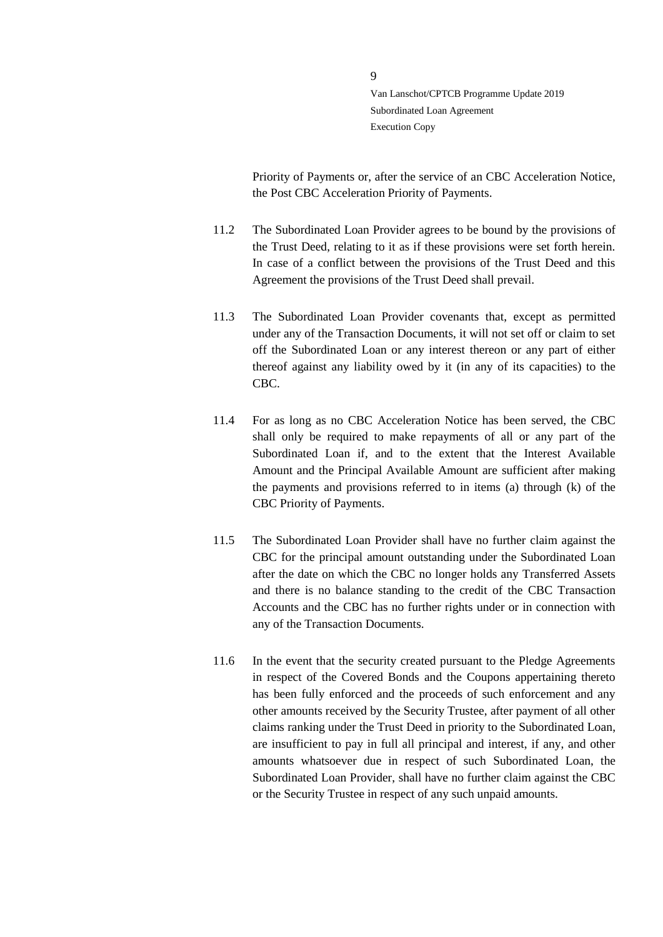Priority of Payments or, after the service of an CBC Acceleration Notice, the Post CBC Acceleration Priority of Payments.

- 11.2 The Subordinated Loan Provider agrees to be bound by the provisions of the Trust Deed, relating to it as if these provisions were set forth herein. In case of a conflict between the provisions of the Trust Deed and this Agreement the provisions of the Trust Deed shall prevail.
- 11.3 The Subordinated Loan Provider covenants that, except as permitted under any of the Transaction Documents, it will not set off or claim to set off the Subordinated Loan or any interest thereon or any part of either thereof against any liability owed by it (in any of its capacities) to the CBC.
- 11.4 For as long as no CBC Acceleration Notice has been served, the CBC shall only be required to make repayments of all or any part of the Subordinated Loan if, and to the extent that the Interest Available Amount and the Principal Available Amount are sufficient after making the payments and provisions referred to in items (a) through (k) of the CBC Priority of Payments.
- 11.5 The Subordinated Loan Provider shall have no further claim against the CBC for the principal amount outstanding under the Subordinated Loan after the date on which the CBC no longer holds any Transferred Assets and there is no balance standing to the credit of the CBC Transaction Accounts and the CBC has no further rights under or in connection with any of the Transaction Documents.
- 11.6 In the event that the security created pursuant to the Pledge Agreements in respect of the Covered Bonds and the Coupons appertaining thereto has been fully enforced and the proceeds of such enforcement and any other amounts received by the Security Trustee, after payment of all other claims ranking under the Trust Deed in priority to the Subordinated Loan, are insufficient to pay in full all principal and interest, if any, and other amounts whatsoever due in respect of such Subordinated Loan, the Subordinated Loan Provider, shall have no further claim against the CBC or the Security Trustee in respect of any such unpaid amounts.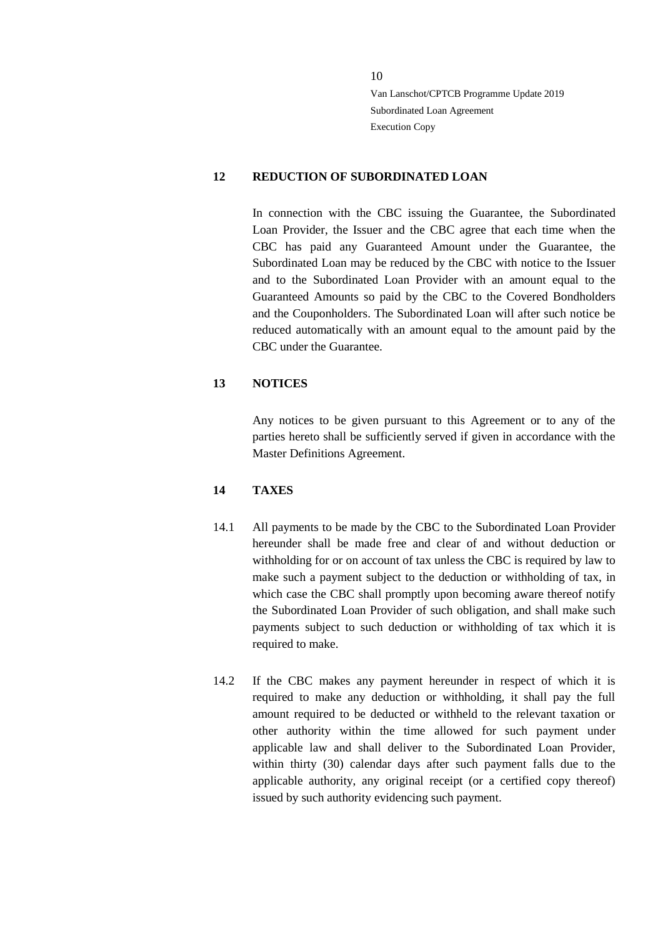## <span id="page-9-0"></span>**12 REDUCTION OF SUBORDINATED LOAN**

In connection with the CBC issuing the Guarantee, the Subordinated Loan Provider, the Issuer and the CBC agree that each time when the CBC has paid any Guaranteed Amount under the Guarantee, the Subordinated Loan may be reduced by the CBC with notice to the Issuer and to the Subordinated Loan Provider with an amount equal to the Guaranteed Amounts so paid by the CBC to the Covered Bondholders and the Couponholders. The Subordinated Loan will after such notice be reduced automatically with an amount equal to the amount paid by the CBC under the Guarantee.

# <span id="page-9-1"></span>**13 NOTICES**

Any notices to be given pursuant to this Agreement or to any of the parties hereto shall be sufficiently served if given in accordance with the Master Definitions Agreement.

## <span id="page-9-2"></span>**14 TAXES**

- 14.1 All payments to be made by the CBC to the Subordinated Loan Provider hereunder shall be made free and clear of and without deduction or withholding for or on account of tax unless the CBC is required by law to make such a payment subject to the deduction or withholding of tax, in which case the CBC shall promptly upon becoming aware thereof notify the Subordinated Loan Provider of such obligation, and shall make such payments subject to such deduction or withholding of tax which it is required to make.
- 14.2 If the CBC makes any payment hereunder in respect of which it is required to make any deduction or withholding, it shall pay the full amount required to be deducted or withheld to the relevant taxation or other authority within the time allowed for such payment under applicable law and shall deliver to the Subordinated Loan Provider, within thirty (30) calendar days after such payment falls due to the applicable authority, any original receipt (or a certified copy thereof) issued by such authority evidencing such payment.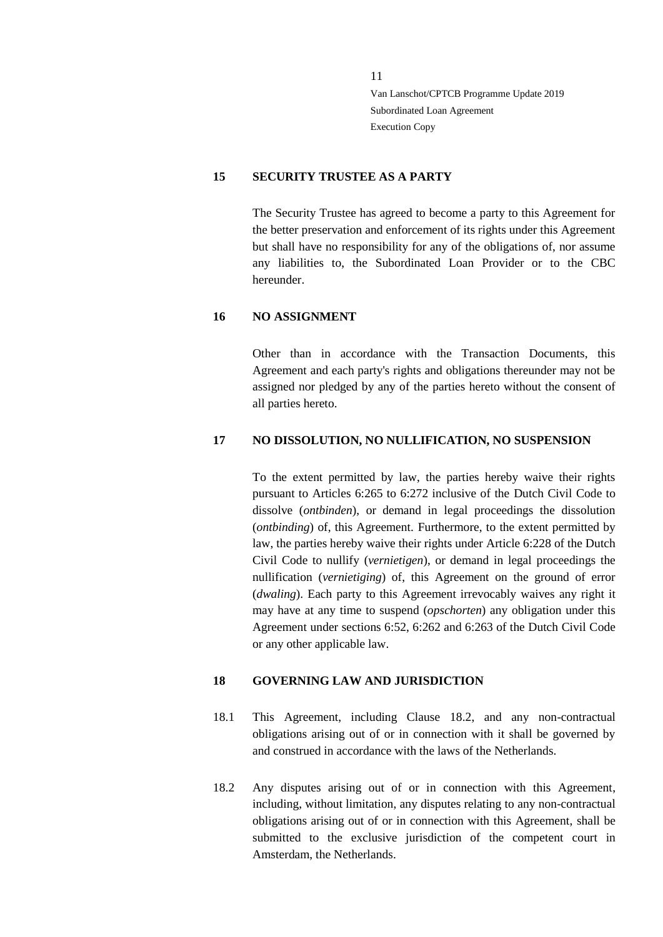## <span id="page-10-0"></span>**15 SECURITY TRUSTEE AS A PARTY**

The Security Trustee has agreed to become a party to this Agreement for the better preservation and enforcement of its rights under this Agreement but shall have no responsibility for any of the obligations of, nor assume any liabilities to, the Subordinated Loan Provider or to the CBC hereunder.

## <span id="page-10-1"></span>**16 NO ASSIGNMENT**

Other than in accordance with the Transaction Documents, this Agreement and each party's rights and obligations thereunder may not be assigned nor pledged by any of the parties hereto without the consent of all parties hereto.

#### <span id="page-10-2"></span>**17 NO DISSOLUTION, NO NULLIFICATION, NO SUSPENSION**

To the extent permitted by law, the parties hereby waive their rights pursuant to Articles 6:265 to 6:272 inclusive of the Dutch Civil Code to dissolve (*ontbinden*), or demand in legal proceedings the dissolution (*ontbinding*) of, this Agreement. Furthermore, to the extent permitted by law, the parties hereby waive their rights under Article 6:228 of the Dutch Civil Code to nullify (*vernietigen*), or demand in legal proceedings the nullification (*vernietiging*) of, this Agreement on the ground of error (*dwaling*). Each party to this Agreement irrevocably waives any right it may have at any time to suspend (*opschorten*) any obligation under this Agreement under sections 6:52, 6:262 and 6:263 of the Dutch Civil Code or any other applicable law.

## <span id="page-10-3"></span>**18 GOVERNING LAW AND JURISDICTION**

- 18.1 This Agreement, including Clause [18.2,](#page-10-4) and any non-contractual obligations arising out of or in connection with it shall be governed by and construed in accordance with the laws of the Netherlands.
- <span id="page-10-4"></span>18.2 Any disputes arising out of or in connection with this Agreement, including, without limitation, any disputes relating to any non-contractual obligations arising out of or in connection with this Agreement, shall be submitted to the exclusive jurisdiction of the competent court in Amsterdam, the Netherlands.